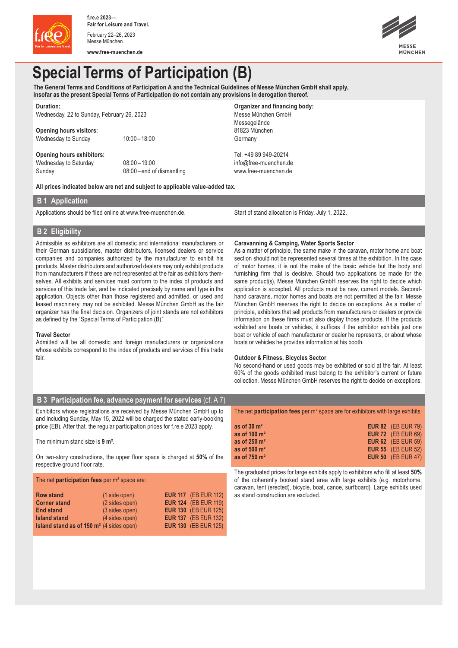

**www.free-muenchen.de**



# **Special Terms of Participation (B)**

**The General Terms and Conditions of Participation A and the Technical Guidelines of Messe München GmbH shall apply, insofar as the present Special Terms of Participation do not contain any provisions in derogation thereof.**

| <b>Duration:</b>                                                             |                          | Organizer and financing body: |  |                     |
|------------------------------------------------------------------------------|--------------------------|-------------------------------|--|---------------------|
| Wednesday, 22 to Sunday, February 26, 2023<br><b>Opening hours visitors:</b> |                          | Messe München GmbH            |  |                     |
|                                                                              |                          | Messegelände<br>81823 München |  |                     |
|                                                                              |                          |                               |  | Wednesday to Sunday |
| Opening hours exhibitors:                                                    |                          | Tel. +49 89 949-20214         |  |                     |
| Wednesday to Saturday                                                        | $08:00 - 19:00$          | info@free-muenchen.de         |  |                     |
| Sunday                                                                       | 08:00-end of dismantling | www.free-muenchen.de          |  |                     |
|                                                                              |                          |                               |  |                     |

**All prices indicated below are net and subject to applicable value-added tax.**

## **B 1 Application**

Applications should be filed online at www.free-muenchen.de. Start of stand allocation is Friday, July 1, 2022.

# **B 2 Eligibility**

Admissible as exhibitors are all domestic and international manufacturers or their German subsidiaries, master distributors, licensed dealers or service companies and companies authorized by the manufacturer to exhibit his products. Master distributors and authorized dealers may only exhibit products from manufacturers if these are not represented at the fair as exhibitors themselves. All exhibits and services must conform to the index of products and services of this trade fair, and be indicated precisely by name and type in the application. Objects other than those registered and admitted, or used and leased machinery, may not be exhibited. Messe München GmbH as the fair organizer has the final decision. Organizers of joint stands are not exhibitors as defined by the "Special Terms of Participation (B)."

### **Travel Sector**

Admitted will be all domestic and foreign manufacturers or organizations whose exhibits correspond to the index of products and services of this trade fair.

### **Caravanning & Camping, Water Sports Sector**

As a matter of principle, the same make in the caravan, motor home and boat section should not be represented several times at the exhibition. In the case of motor homes, it is not the make of the basic vehicle but the body and furnishing firm that is decisive. Should two applications be made for the same product(s), Messe München GmbH reserves the right to decide which application is accepted. All products must be new, current models. Secondhand caravans, motor homes and boats are not permitted at the fair. Messe München GmbH reserves the right to decide on exceptions. As a matter of principle, exhibitors that sell products from manufacturers or dealers or provide information on these firms must also display those products. If the products exhibited are boats or vehicles, it suffices if the exhibitor exhibits just one boat or vehicle of each manufacturer or dealer he represents, or about whose boats or vehicles he provides information at his booth.

### **Outdoor & Fitness, Bicycles Sector**

No second-hand or used goods may be exhibited or sold at the fair. At least 60% of the goods exhibited must belong to the exhibitor's current or future collection. Messe München GmbH reserves the right to decide on exceptions.

## **B 3 Participation fee, advance payment for services** (cf. A 7)

Exhibitors whose registrations are received by Messe München GmbH up to and including Sunday, May 15, 2022 will be charged the stated early-booking price (EB). After that, the regular participation prices for f.re.e 2023 apply.

### The minimum stand size is **9 m²**.

On two-story constructions, the upper floor space is charged at **50%** of the respective ground floor rate.

#### The net **participation fees** per m² space are:

| <b>Row stand</b>                                           | $(1 \text{ side open})$ | <b>EUR 117</b> (EB EUR 112) |
|------------------------------------------------------------|-------------------------|-----------------------------|
| <b>Corner stand</b>                                        | (2 sides open)          | <b>EUR 124</b> (EB EUR 119) |
| <b>End stand</b>                                           | (3 sides open)          | <b>EUR 130 (EB EUR 125)</b> |
| <b>Island stand</b>                                        | (4 sides open)          | <b>EUR 137</b> (EB EUR 132) |
| <b>Island stand as of 150 m<sup>2</sup></b> (4 sides open) |                         | <b>EUR 130 (EB EUR 125)</b> |

The net **participation fees** per m² space are for exhibitors with large exhibits:

| as of $30 \text{ m}^2$  | <b>EUR 82</b> (EB EUR 79) |
|-------------------------|---------------------------|
| as of 100 $m2$          | <b>EUR 72</b> (EB EUR 69) |
| as of 250 $m2$          | <b>EUR 62</b> (EB EUR 59) |
| as of 500 $m2$          | <b>EUR 55</b> (EB EUR 52) |
| as of $750 \text{ m}^2$ | <b>EUR 50</b> (EB EUR 47) |

The graduated prices for large exhibits apply to exhibitors who fill at least **50%**  of the coherently booked stand area with large exhibits (e.g. motorhome, caravan, tent (erected), bicycle, boat, canoe, surfboard). Large exhibits used as stand construction are excluded.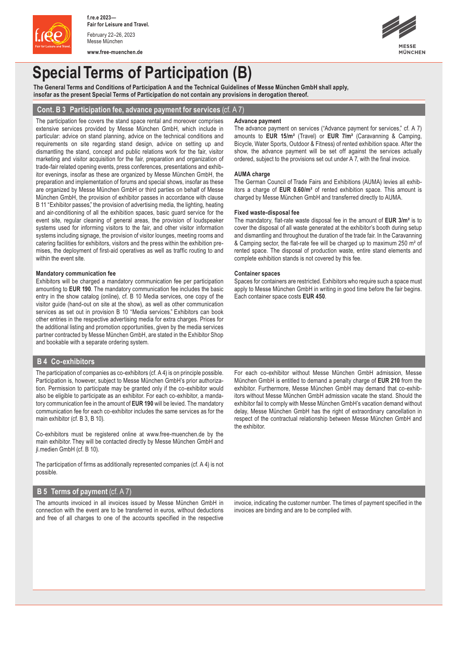

**www.free-muenchen.de**



# **Special Terms of Participation (B)**

**The General Terms and Conditions of Participation A and the Technical Guidelines of Messe München GmbH shall apply, insofar as the present Special Terms of Participation do not contain any provisions in derogation thereof.**

## **Cont. B 3 Participation fee, advance payment for services** (cf. A 7)

The participation fee covers the stand space rental and moreover comprises extensive services provided by Messe München GmbH, which include in particular: advice on stand planning, advice on the technical conditions and requirements on site regarding stand design, advice on setting up and dismantling the stand, concept and public relations work for the fair, visitor marketing and visitor acquisition for the fair, preparation and organization of trade-fair related opening events, press conferences, presentations and exhibitor evenings, insofar as these are organized by Messe München GmbH, the preparation and implementation of forums and special shows, insofar as these are organized by Messe München GmbH or third parties on behalf of Messe München GmbH, the provision of exhibitor passes in accordance with clause B 11 "Exhibitor passes," the provision of advertising media, the lighting, heating and air-conditioning of all the exhibition spaces, basic guard service for the event site, regular cleaning of general areas, the provision of loudspeaker systems used for informing visitors to the fair, and other visitor information systems including signage, the provision of visitor lounges, meeting rooms and catering facilities for exhibitors, visitors and the press within the exhibition premises, the deployment of first-aid operatives as well as traffic routing to and within the event site.

#### **Mandatory communication fee**

Exhibitors will be charged a mandatory communication fee per participation amounting to **EUR 190**. The mandatory communication fee includes the basic entry in the show catalog (online), cf. B 10 Media services, one copy of the visitor guide (hand-out on site at the show), as well as other communication services as set out in provision B 10 "Media services." Exhibitors can book other entries in the respective advertising media for extra charges. Prices for the additional listing and promotion opportunities, given by the media services partner contracted by Messe München GmbH, are stated in the Exhibitor Shop and bookable with a separate ordering system.

## **B 4 Co-exhibitors**

The participation of companies as co-exhibitors (cf. A 4) is on principle possible. Participation is, however, subject to Messe München GmbH's prior authorization. Permission to participate may be granted only if the co-exhibitor would also be eligible to participate as an exhibitor. For each co-exhibitor, a mandatory communication fee in the amount of **EUR 190** will be levied. The mandatory communication fee for each co-exhibitor includes the same services as for the main exhibitor (cf. B 3, B 10).

Co-exhibitors must be registered online at www.free-muenchen.de by the main exhibitor. They will be contacted directly by Messe München GmbH and jl.medien GmbH (cf. B 10).

The participation of firms as additionally represented companies (cf. A 4) is not possible.

# **B 5 Terms of payment** (cf. A 7)

The amounts invoiced in all invoices issued by Messe München GmbH in connection with the event are to be transferred in euros, without deductions and free of all charges to one of the accounts specified in the respective

#### **Advance payment**

The advance payment on services ("Advance payment for services," cf. A 7) amounts to **EUR 15/m²** (Travel) or **EUR 7/m²** (Caravanning & Camping, Bicycle, Water Sports, Outdoor & Fitness) of rented exhibition space. After the show, the advance payment will be set off against the services actually ordered, subject to the provisions set out under A 7, with the final invoice.

#### **AUMA charge**

The German Council of Trade Fairs and Exhibitions (AUMA) levies all exhibitors a charge of **EUR 0.60/m²** of rented exhibition space. This amount is charged by Messe München GmbH and transferred directly to AUMA.

#### **Fixed waste-disposal fee**

The mandatory, flat-rate waste disposal fee in the amount of **EUR 3/m²** is to cover the disposal of all waste generated at the exhibitor's booth during setup and dismantling and throughout the duration of the trade fair. In the Caravanning & Camping sector, the flat-rate fee will be charged up to maximum 250 m² of rented space. The disposal of production waste, entire stand elements and complete exhibition stands is not covered by this fee.

#### **Container spaces**

Spaces for containers are restricted. Exhibitors who require such a space must apply to Messe München GmbH in writing in good time before the fair begins. Each container space costs **EUR 450**.

For each co-exhibitor without Messe München GmbH admission, Messe München GmbH is entitled to demand a penalty charge of **EUR 210** from the exhibitor. Furthermore, Messe München GmbH may demand that co-exhibitors without Messe München GmbH admission vacate the stand. Should the exhibitor fail to comply with Messe München GmbH's vacation demand without delay, Messe München GmbH has the right of extraordinary cancellation in respect of the contractual relationship between Messe München GmbH and the exhibitor.

invoice, indicating the customer number. The times of payment specified in the invoices are binding and are to be complied with.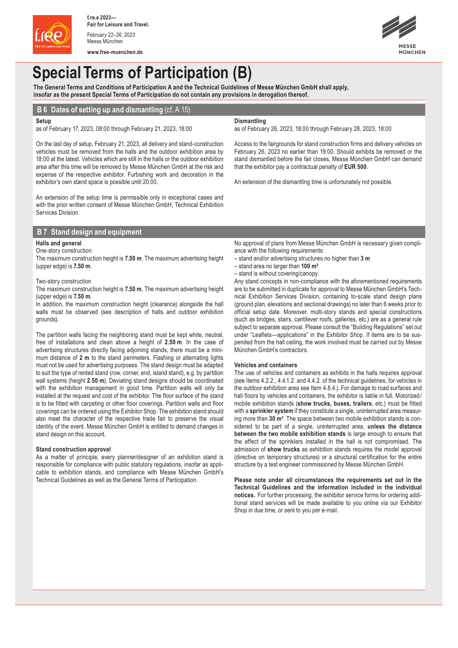

**www.free-muenchen.de**



# **Special Terms of Participation (B)**

**The General Terms and Conditions of Participation A and the Technical Guidelines of Messe München GmbH shall apply, insofar as the present Special Terms of Participation do not contain any provisions in derogation thereof.**

# **B 6 Dates of setting up and dismantling** (cf. A 15)

#### **Setup**

as of February 17, 2023, 08:00 through February 21, 2023, 18:00

On the last day of setup, February 21, 2023, all delivery and stand-construction vehicles must be removed from the halls and the outdoor exhibition area by 18:00 at the latest. Vehicles which are still in the halls or the outdoor exhibition area after this time will be removed by Messe München GmbH at the risk and expense of the respective exhibitor. Furbishing work and decoration in the exhibitor's own stand space is possible until 20:00.

An extension of the setup time is permissible only in exceptional cases and with the prior written consent of Messe München GmbH, Technical Exhibition Services Division.

## **B 7 Stand design and equipment**

### **Halls and general**

#### One-story construction

The maximum construction height is **7.50 m**. The maximum advertising height (upper edge) is **7.50 m**.

## Two-story construction

The maximum construction height is **7.50 m**. The maximum advertising height (upper edge) is **7.50 m**.

In addition, the maximum construction height (clearance) alongside the hall walls must be observed (see description of halls and outdoor exhibition grounds).

The partition walls facing the neighboring stand must be kept white, neutral, free of installations and clean above a height of **2.50 m**. In the case of advertising structures directly facing adjoining stands, there must be a minimum distance of **2 m** to the stand perimeters. Flashing or alternating lights must not be used for advertising purposes. The stand design must be adapted to suit the type of rented stand (row, corner, end, island stand), e.g. by partition wall systems (height **2.50 m**). Deviating stand designs should be coordinated with the exhibition management in good time. Partition walls will only be installed at the request and cost of the exhibitor. The floor surface of the stand is to be fitted with carpeting or other floor coverings. Partition walls and floor coverings can be ordered using the Exhibitor Shop. The exhibition stand should also meet the character of the respective trade fair to preserve the visual identity of the event. Messe München GmbH is entitled to demand changes in stand design on this account.

#### **Stand construction approval**

As a matter of principle, every planner/designer of an exhibition stand is responsible for compliance with public statutory regulations, insofar as applicable to exhibition stands, and compliance with Messe München GmbH's Technical Guidelines as well as the General Terms of Participation.

No approval of plans from Messe München GmbH is necessary given compliance with the following requirements:

– stand and/or advertising structures no higher than **3 m**

that the exhibitor pay a contractual penalty of **EUR 500**.

as of February 26, 2023, 18:00 through February 28, 2023, 18:00

An extension of the dismantling time is unfortunately not possible.

Access to the fairgrounds for stand construction firms and delivery vehicles on February 26, 2023 no earlier than 19:00. Should exhibits be removed or the stand dismantled before the fair closes, Messe München GmbH can demand

– stand area no larger than **100 m²**

**Dismantling**

– stand is without covering/canopy.

Any stand concepts in non-compliance with the aforementioned requirements are to be submitted in duplicate for approval to Messe München GmbH's Technical Exhibition Services Division, containing to-scale stand design plans (ground plan, elevations and sectional drawings) no later than 6 weeks prior to official setup date. Moreover, multi-story stands and special constructions (such as bridges, stairs, cantilever roofs, galleries, etc.) are as a general rule subject to separate approval. Please consult the "Building Regulations" set out under "Leaflets—applications" in the Exhibitor Shop. If items are to be suspended from the hall ceiling, the work involved must be carried out by Messe München GmbH's contractors.

#### **Vehicles and containers**

The use of vehicles and containers as exhibits in the halls requires approval (see Items 4.2.2., 4.4.1.2. and 4.4.2. of the technical guidelines, for vehicles in the outdoor exhibition area see Item 4.8.4.). For damage to road surfaces and hall floors by vehicles and containers, the exhibitor is liable in full. Motorized/ mobile exhibition stands (**show trucks, buses, trailers**, etc.) must be fitted with a **sprinkler system** if they constitute a single, uninterrupted area measuring more than **30 m²**. The space between two mobile exhibition stands is considered to be part of a single, uninterrupted area, **unless the distance between the two mobile exhibition stands** is large enough to ensure that the effect of the sprinklers installed in the hall is not compromised. The admission of **show trucks** as exhibition stands requires the model approval (directive on temporary structures) or a structural certification for the entire structure by a test engineer commissioned by Messe München GmbH.

**Please note under all circumstances the requirements set out in the Technical Guidelines and the information included in the individual notices.** For further processing, the exhibitor service forms for ordering additional stand services will be made available to you online via our Exhibitor Shop in due time, or sent to you per e-mail.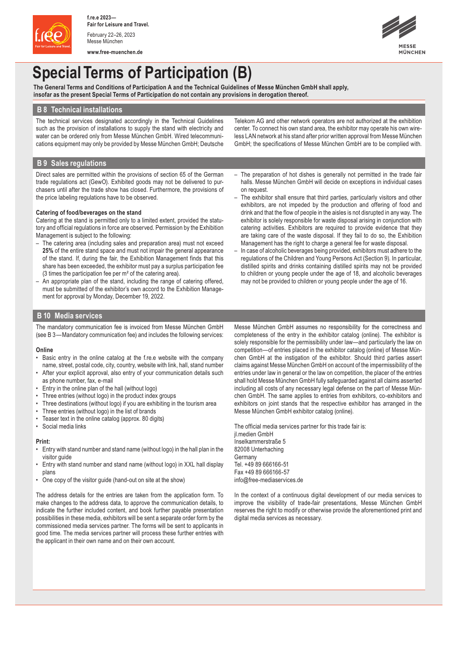

**www.free-muenchen.de**



# **Special Terms of Participation (B)**

**The General Terms and Conditions of Participation A and the Technical Guidelines of Messe München GmbH shall apply, insofar as the present Special Terms of Participation do not contain any provisions in derogation thereof.**

## **B 8 Technical installations**

The technical services designated accordingly in the Technical Guidelines such as the provision of installations to supply the stand with electricity and water can be ordered only from Messe München GmbH. Wired telecommunications equipment may only be provided by Messe München GmbH; Deutsche

Telekom AG and other network operators are not authorized at the exhibition center. To connect his own stand area, the exhibitor may operate his own wireless LAN network at his stand after prior written approval from Messe München GmbH; the specifications of Messe München GmbH are to be complied with.

## **B 9 Sales regulations**

Direct sales are permitted within the provisions of section 65 of the German trade regulations act (GewO). Exhibited goods may not be delivered to purchasers until after the trade show has closed. Furthermore, the provisions of the price labeling regulations have to be observed.

### **Catering of food/beverages on the stand**

Catering at the stand is permitted only to a limited extent, provided the statutory and official regulations in force are observed. Permission by the Exhibition Management is subject to the following:

- The catering area (including sales and preparation area) must not exceed **25%** of the entire stand space and must not impair the general appearance of the stand. If, during the fair, the Exhibition Management finds that this share has been exceeded, the exhibitor must pay a surplus participation fee (3 times the participation fee per m² of the catering area).
- An appropriate plan of the stand, including the range of catering offered, must be submitted of the exhibitor's own accord to the Exhibition Management for approval by Monday, December 19, 2022.
- The preparation of hot dishes is generally not permitted in the trade fair halls. Messe München GmbH will decide on exceptions in individual cases on request.
- The exhibitor shall ensure that third parties, particularly visitors and other exhibitors, are not impeded by the production and offering of food and drink and that the flow of people in the aisles is not disrupted in any way. The exhibitor is solely responsible for waste disposal arising in conjunction with catering activities. Exhibitors are required to provide evidence that they are taking care of the waste disposal. If they fail to do so, the Exhibition Management has the right to charge a general fee for waste disposal.
- In case of alcoholic beverages being provided, exhibitors must adhere to the regulations of the Children and Young Persons Act (Section 9). In particular, distilled spirits and drinks containing distilled spirits may not be provided to children or young people under the age of 18, and alcoholic beverages may not be provided to children or young people under the age of 16.

## **B 10 Media services**

The mandatory communication fee is invoiced from Messe München GmbH (see B 3—Mandatory communication fee) and includes the following services:

### **Online**

- Basic entry in the online catalog at the f.re.e website with the company name, street, postal code, city, country, website with link, hall, stand number
- After your explicit approval, also entry of your communication details such as phone number, fax, e-mail
- Entry in the online plan of the hall (without logo)
- Three entries (without logo) in the product index groups
- Three destinations (without logo) if you are exhibiting in the tourism area
- Three entries (without logo) in the list of brands
- Teaser text in the online catalog (approx. 80 digits)
- Social media links

### **Print:**

- Entry with stand number and stand name (without logo) in the hall plan in the visitor guide
- Entry with stand number and stand name (without logo) in XXL hall display plans
- One copy of the visitor guide (hand-out on site at the show)

The address details for the entries are taken from the application form. To make changes to the address data, to approve the communication details, to indicate the further included content, and book further payable presentation possibilities in these media, exhibitors will be sent a separate order form by the commissioned media services partner. The forms will be sent to applicants in good time. The media services partner will process these further entries with the applicant in their own name and on their own account.

Messe München GmbH assumes no responsibility for the correctness and completeness of the entry in the exhibitor catalog (online). The exhibitor is solely responsible for the permissibility under law—and particularly the law on competition—of entries placed in the exhibitor catalog (online) of Messe München GmbH at the instigation of the exhibitor. Should third parties assert claims against Messe München GmbH on account of the impermissibility of the entries under law in general or the law on competition, the placer of the entries shall hold Messe München GmbH fully safeguarded against all claims asserted including all costs of any necessary legal defense on the part of Messe München GmbH. The same applies to entries from exhibitors, co-exhibitors and exhibitors on joint stands that the respective exhibitor has arranged in the Messe München GmbH exhibitor catalog (online).

The official media services partner for this trade fair is: jl.medien GmbH Inselkammerstraße 5 82008 Unterhaching

Germany Tel. +49 89 666166-51 Fax +49 89 666166-57 info@free-mediaservices.de

In the context of a continuous digital development of our media services to improve the visibility of trade-fair presentations, Messe München GmbH reserves the right to modify or otherwise provide the aforementioned print and digital media services as necessary.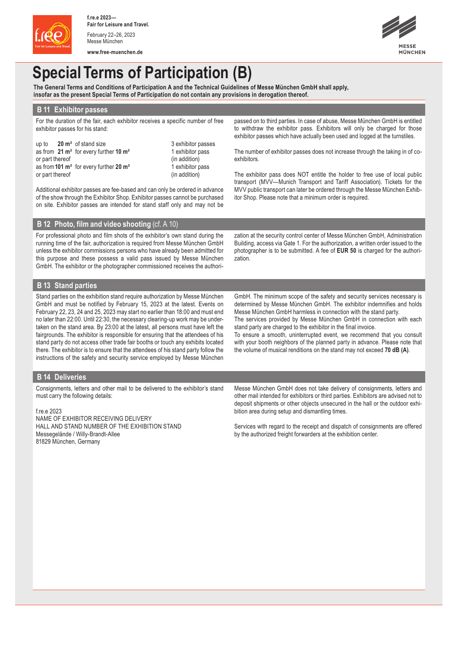

**www.free-muenchen.de**



# **Special Terms of Participation (B)**

**The General Terms and Conditions of Participation A and the Technical Guidelines of Messe München GmbH shall apply, insofar as the present Special Terms of Participation do not contain any provisions in derogation thereof.**

## **B 11 Exhibitor passes**

For the duration of the fair, each exhibitor receives a specific number of free exhibitor passes for his stand:

up to **20 m<sup>2</sup>** of stand size 3 exhibitor passes as from **21 m²** for every further **10 m²** 1 exhibitor pass or part thereof (in addition) as from**101 m²** for every further **20 m²** 1 exhibitor pass or part thereof (in addition)

Additional exhibitor passes are fee-based and can only be ordered in advance of the show through the Exhibitor Shop. Exhibitor passes cannot be purchased on site. Exhibitor passes are intended for stand staff only and may not be

**B 12 Photo, film and video shooting** (cf. A 10)

For professional photo and film shots of the exhibitor's own stand during the running time of the fair, authorization is required from Messe München GmbH unless the exhibitor commissions persons who have already been admitted for this purpose and these possess a valid pass issued by Messe München GmbH. The exhibitor or the photographer commissioned receives the authoripassed on to third parties. In case of abuse, Messe München GmbH is entitled to withdraw the exhibitor pass. Exhibitors will only be charged for those exhibitor passes which have actually been used and logged at the turnstiles.

The number of exhibitor passes does not increase through the taking in of coexhibitors.

The exhibitor pass does NOT entitle the holder to free use of local public transport (MVV—Munich Transport and Tariff Association). Tickets for the MVV public transport can later be ordered through the Messe München Exhibitor Shop. Please note that a minimum order is required.

zation at the security control center of Messe München GmbH, Administration Building, access via Gate 1. For the authorization, a written order issued to the photographer is to be submitted. A fee of **EUR 50** is charged for the authorization.

# **B 13 Stand parties**

Stand parties on the exhibition stand require authorization by Messe München GmbH and must be notified by February 15, 2023 at the latest. Events on February 22, 23, 24 and 25, 2023 may start no earlier than 18:00 and must end no later than 22:00. Until 22:30, the necessary clearing-up work may be undertaken on the stand area. By 23:00 at the latest, all persons must have left the fairgrounds. The exhibitor is responsible for ensuring that the attendees of his stand party do not access other trade fair booths or touch any exhibits located there. The exhibitor is to ensure that the attendees of his stand party follow the instructions of the safety and security service employed by Messe München

GmbH. The minimum scope of the safety and security services necessary is determined by Messe München GmbH. The exhibitor indemnifies and holds Messe München GmbH harmless in connection with the stand party.

The services provided by Messe München GmbH in connection with each stand party are charged to the exhibitor in the final invoice. To ensure a smooth, uninterrupted event, we recommend that you consult

with your booth neighbors of the planned party in advance. Please note that the volume of musical renditions on the stand may not exceed **70 dB (A)**.

## **B 14 Deliveries**

Consignments, letters and other mail to be delivered to the exhibitor's stand must carry the following details:

#### f.re.e 2023

NAME OF EXHIBITOR RECEIVING DELIVERY HALL AND STAND NUMBER OF THE EXHIBITION STAND Messegelände / Willy-Brandt-Allee 81829 München, Germany

Messe München GmbH does not take delivery of consignments, letters and other mail intended for exhibitors or third parties. Exhibitors are advised not to deposit shipments or other objects unsecured in the hall or the outdoor exhibition area during setup and dismantling times.

Services with regard to the receipt and dispatch of consignments are offered by the authorized freight forwarders at the exhibition center.